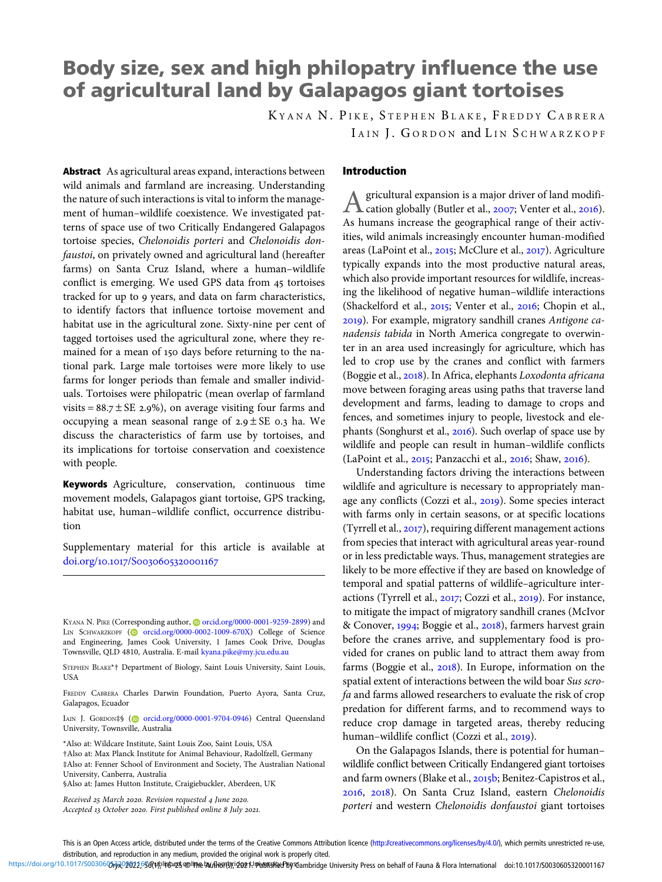# Body size, sex and high philopatry influence the use of agricultural land by Galapagos giant tortoises

K YANA N. P IKE , S TEPHEN B LAKE , F REDDY C ABRERA IAIN J. GORDON and LIN SCHWARZKOPF

Abstract As agricultural areas expand, interactions between wild animals and farmland are increasing. Understanding the nature of such interactions is vital to inform the management of human–wildlife coexistence. We investigated patterns of space use of two Critically Endangered Galapagos tortoise species, Chelonoidis porteri and Chelonoidis donfaustoi, on privately owned and agricultural land (hereafter farms) on Santa Cruz Island, where a human–wildlife conflict is emerging. We used GPS data from 45 tortoises tracked for up to years, and data on farm characteristics, to identify factors that influence tortoise movement and habitat use in the agricultural zone. Sixty-nine per cent of tagged tortoises used the agricultural zone, where they remained for a mean of 150 days before returning to the national park. Large male tortoises were more likely to use farms for longer periods than female and smaller individuals. Tortoises were philopatric (mean overlap of farmland visits =  $88.7 \pm \text{SE}$  2.9%), on average visiting four farms and occupying a mean seasonal range of  $2.9 \pm SE$  0.3 ha. We discuss the characteristics of farm use by tortoises, and its implications for tortoise conservation and coexistence with people.

Keywords Agriculture, conservation, continuous time movement models, Galapagos giant tortoise, GPS tracking, habitat use, human–wildlife conflict, occurrence distribution

Supplementary material for this article is available at doi.org/10.1017/S0030605320001167

IAIN J. GORDON‡§ [\(](https://orcid.org)@ [orcid.org/0000-0001-9704-0946](https://orcid.org/0000-0001-9704-0946)) Central Queensland University, Townsville, Australia

\*Also at: Wildcare Institute, Saint Louis Zoo, Saint Louis, USA

†Also at: Max Planck Institute for Animal Behaviour, Radolfzell, Germany ‡Also at: Fenner School of Environment and Society, The Australian National University, Canberra, Australia

§Also at: James Hutton Institute, Craigiebuckler, Aberdeen, UK

Received 25 March 2020. Revision requested 4 June 2020. Accepted 13 October 2020. First published online 8 July 2021.

## Introduction

A gricultural expansion is a major driver of land modifi-<br>cation globally (Butler et al., 2007; Venter et al., 2016). As humans increase the geographical range of their activities, wild animals increasingly encounter human-modified areas (LaPoint et al., 2015; McClure et al., 2017). Agriculture typically expands into the most productive natural areas, which also provide important resources for wildlife, increasing the likelihood of negative human–wildlife interactions (Shackelford et al., 2015; Venter et al., 2016; Chopin et al., ). For example, migratory sandhill cranes Antigone canadensis tabida in North America congregate to overwinter in an area used increasingly for agriculture, which has led to crop use by the cranes and conflict with farmers (Boggie et al., 2018). In Africa, elephants Loxodonta africana move between foraging areas using paths that traverse land development and farms, leading to damage to crops and fences, and sometimes injury to people, livestock and elephants (Songhurst et al., 2016). Such overlap of space use by wildlife and people can result in human–wildlife conflicts  $(LaPoint et al., 2015; Panzacchi et al., 2016; Shaw, 2016).$ 

Understanding factors driving the interactions between wildlife and agriculture is necessary to appropriately manage any conflicts (Cozzi et al., 2019). Some species interact with farms only in certain seasons, or at specific locations (Tyrrell et al.,  $2017$ ), requiring different management actions from species that interact with agricultural areas year-round or in less predictable ways. Thus, management strategies are likely to be more effective if they are based on knowledge of temporal and spatial patterns of wildlife–agriculture interactions (Tyrrell et al., 2017; Cozzi et al., 2019). For instance, to mitigate the impact of migratory sandhill cranes (McIvor & Conover, 1994; Boggie et al., 2018), farmers harvest grain before the cranes arrive, and supplementary food is provided for cranes on public land to attract them away from farms (Boggie et al.,  $2018$ ). In Europe, information on the spatial extent of interactions between the wild boar Sus scrofa and farms allowed researchers to evaluate the risk of crop predation for different farms, and to recommend ways to reduce crop damage in targeted areas, thereby reducing human-wildlife conflict (Cozzi et al., 2019).

On the Galapagos Islands, there is potential for human– wildlife conflict between Critically Endangered giant tortoises and farm owners (Blake et al., 2015b; Benitez-Capistros et al., , ). On Santa Cruz Island, eastern Chelonoidis porteri and western Chelonoidis donfaustoi giant tortoises

https://doi.org/10.1017/S0030605p202050ftpplistez5@lime bufterily;dgg1/membridge Dniversity Press on behalf of Fauna & Flora International doi:10.1017/S0030605320001167

KYANA N. PIKE (Corresponding author,  $\odot$  [orcid.org/0000-0001-9259-2899\)](https://orcid.org/0000-0001-9259-2899) and LIN SCHWARZKOPF [\(](https://orcid.org)@ [orcid.org/0000-0002-1009-670X](https://orcid.org/0000-0002-1009-670X)) College of Science and Engineering, James Cook University, 1 James Cook Drive, Douglas Townsville, QLD 4810, Australia. E-mail [kyana.pike@my.jcu.edu.au](mailto:kyana.pike@my.jcu.edu.au)

STEPHEN BLAKE\*† Department of Biology, Saint Louis University, Saint Louis, USA

FREDDY CABRERA Charles Darwin Foundation, Puerto Ayora, Santa Cruz, Galapagos, Ecuador

This is an Open Access article, distributed under the terms of the Creative Commons Attribution licence [\(http://creativecommons.org/licenses/by/4.0/\)](http://creativecommons.org/licenses/by/4.0/), which permits unrestricted re-use, distribution, and reproduction in any medium, provided the original work is properly cited.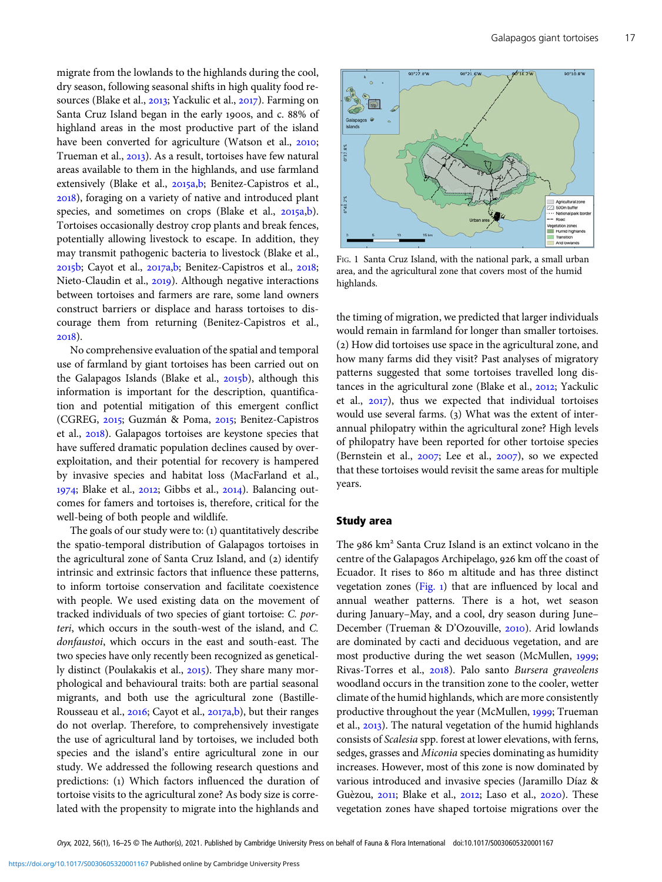<span id="page-1-0"></span>migrate from the lowlands to the highlands during the cool, dry season, following seasonal shifts in high quality food resources (Blake et al., 2013; Yackulic et al., 2017). Farming on Santa Cruz Island began in the early 1900s, and c. 88% of highland areas in the most productive part of the island have been converted for agriculture (Watson et al., 2010; Trueman et al., 2013). As a result, tortoises have few natural areas available to them in the highlands, and use farmland extensively (Blake et al., 2015a[,b](#page-7-0); Benitez-Capistros et al., ), foraging on a variety of native and introduced plant species, and sometimes on crops (Blake et al., 2015a[,b](#page-7-0)). Tortoises occasionally destroy crop plants and break fences, potentially allowing livestock to escape. In addition, they may transmit pathogenic bacteria to livestock (Blake et al.,  $2015$ [b;](#page-8-0) Cayot et al.,  $2017a$ , b; Benitez-Capistros et al.,  $2018$ ; Nieto-Claudin et al., 2019). Although negative interactions between tortoises and farmers are rare, some land owners construct barriers or displace and harass tortoises to discourage them from returning (Benitez-Capistros et al., 2018).

No comprehensive evaluation of the spatial and temporal use of farmland by giant tortoises has been carried out on the Galapagos Islands (Blake et al., 2015b), although this information is important for the description, quantification and potential mitigation of this emergent conflict (CGREG, 2015; Guzmán & Poma, 2015; Benitez-Capistros et al., 2018). Galapagos tortoises are keystone species that have suffered dramatic population declines caused by overexploitation, and their potential for recovery is hampered by invasive species and habitat loss (MacFarland et al.,  $1974$ ; Blake et al., 2012; Gibbs et al., 2014). Balancing outcomes for famers and tortoises is, therefore, critical for the well-being of both people and wildlife.

The goals of our study were to: (1) quantitatively describe the spatio-temporal distribution of Galapagos tortoises in the agricultural zone of Santa Cruz Island, and (2) identify intrinsic and extrinsic factors that influence these patterns, to inform tortoise conservation and facilitate coexistence with people. We used existing data on the movement of tracked individuals of two species of giant tortoise: C. porteri, which occurs in the south-west of the island, and C. donfaustoi, which occurs in the east and south-east. The two species have only recently been recognized as genetically distinct (Poulakakis et al., 2015). They share many morphological and behavioural traits: both are partial seasonal migrants, and both use the agricultural zone (BastilleRousseau et al., 2016; Cayot et al., 2017a,[b\)](#page-8-0), but their ranges do not overlap. Therefore, to comprehensively investigate the use of agricultural land by tortoises, we included both species and the island's entire agricultural zone in our study. We addressed the following research questions and predictions: (1) Which factors influenced the duration of tortoise visits to the agricultural zone? As body size is correlated with the propensity to migrate into the highlands and



FIG. 1 Santa Cruz Island, with the national park, a small urban area, and the agricultural zone that covers most of the humid highlands.

the timing of migration, we predicted that larger individuals would remain in farmland for longer than smaller tortoises. (2) How did tortoises use space in the agricultural zone, and how many farms did they visit? Past analyses of migratory patterns suggested that some tortoises travelled long distances in the agricultural zone (Blake et al.,  $2012$ ; Yackulic et al.,  $2017$ ), thus we expected that individual tortoises would use several farms.  $(3)$  What was the extent of interannual philopatry within the agricultural zone? High levels of philopatry have been reported for other tortoise species (Bernstein et al.,  $2007$ ; Lee et al.,  $2007$ ), so we expected that these tortoises would revisit the same areas for multiple years.

## Study area

The  $986 \text{ km}^2$  Santa Cruz Island is an extinct volcano in the centre of the Galapagos Archipelago, 926 km off the coast of Ecuador. It rises to 860 m altitude and has three distinct vegetation zones (Fig. 1) that are influenced by local and annual weather patterns. There is a hot, wet season during January–May, and a cool, dry season during June– December (Trueman & D'Ozouville, 2010). Arid lowlands are dominated by cacti and deciduous vegetation, and are most productive during the wet season (McMullen, 1999; Rivas-Torres et al., 2018). Palo santo Bursera graveolens woodland occurs in the transition zone to the cooler, wetter climate of the humid highlands, which are more consistently productive throughout the year (McMullen, 1999; Trueman et al., 2013). The natural vegetation of the humid highlands consists of Scalesia spp. forest at lower elevations, with ferns, sedges, grasses and Miconia species dominating as humidity increases. However, most of this zone is now dominated by various introduced and invasive species (Jaramillo Díaz & Guèzou, 2011; Blake et al., 2012; Laso et al., 2020). These vegetation zones have shaped tortoise migrations over the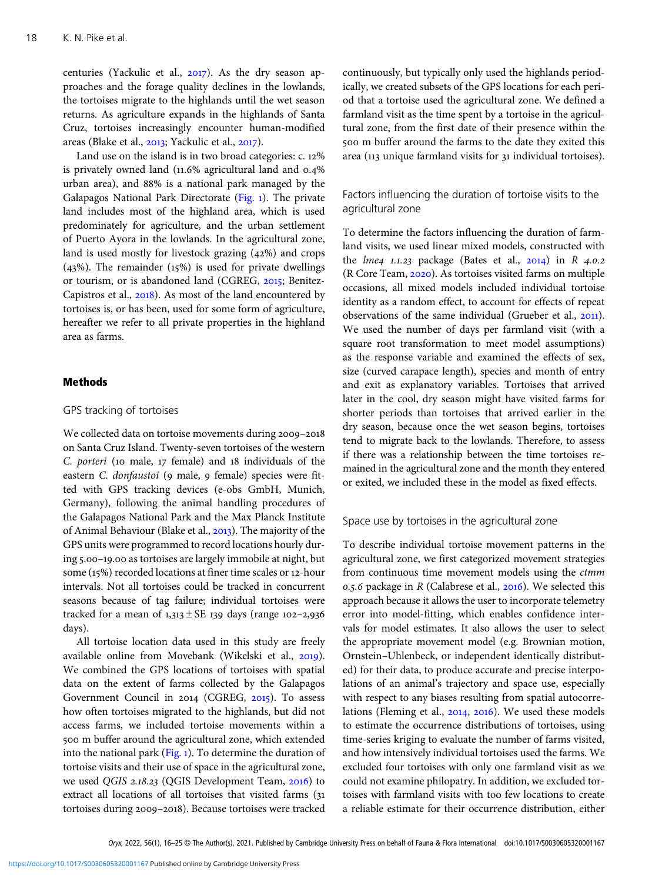centuries (Yackulic et al.,  $2017$ ). As the dry season approaches and the forage quality declines in the lowlands, the tortoises migrate to the highlands until the wet season returns. As agriculture expands in the highlands of Santa Cruz, tortoises increasingly encounter human-modified areas (Blake et al.,  $2013$ ; Yackulic et al.,  $2017$ ).

Land use on the island is in two broad categories:  $c$ . 12% is privately owned land  $(11.6\%$  agricultural land and  $0.4\%$ urban area), and 88% is a national park managed by the Galapagos National Park Directorate [\(Fig.](#page-1-0) ). The private land includes most of the highland area, which is used predominately for agriculture, and the urban settlement of Puerto Ayora in the lowlands. In the agricultural zone, land is used mostly for livestock grazing  $(42%)$  and crops  $(43%)$ . The remainder  $(15%)$  is used for private dwellings or tourism, or is abandoned land (CGREG, 2015; Benitez-Capistros et al., 2018). As most of the land encountered by tortoises is, or has been, used for some form of agriculture, hereafter we refer to all private properties in the highland area as farms.

## Methods

#### GPS tracking of tortoises

We collected data on tortoise movements during 2009-2018 on Santa Cruz Island. Twenty-seven tortoises of the western C. porteri (10 male,  $17$  female) and  $18$  individuals of the eastern C. donfaustoi (9 male, 9 female) species were fitted with GPS tracking devices (e-obs GmbH, Munich, Germany), following the animal handling procedures of the Galapagos National Park and the Max Planck Institute of Animal Behaviour (Blake et al., 2013). The majority of the GPS units were programmed to record locations hourly during 5.00–19.00 as tortoises are largely immobile at night, but some (15%) recorded locations at finer time scales or 12-hour intervals. Not all tortoises could be tracked in concurrent seasons because of tag failure; individual tortoises were tracked for a mean of  $1,313 \pm SE$  139 days (range 102-2,936 days).

All tortoise location data used in this study are freely available online from Movebank (Wikelski et al., 2019). We combined the GPS locations of tortoises with spatial data on the extent of farms collected by the Galapagos Government Council in 2014 (CGREG, 2015). To assess how often tortoises migrated to the highlands, but did not access farms, we included tortoise movements within a 500 m buffer around the agricultural zone, which extended into the national park ([Fig.](#page-1-0) ). To determine the duration of tortoise visits and their use of space in the agricultural zone, we used QGIS 2.18.23 (QGIS Development Team, 2016) to extract all locations of all tortoises that visited farms ( tortoises during 2009-2018). Because tortoises were tracked

continuously, but typically only used the highlands periodically, we created subsets of the GPS locations for each period that a tortoise used the agricultural zone. We defined a farmland visit as the time spent by a tortoise in the agricultural zone, from the first date of their presence within the 500 m buffer around the farms to the date they exited this area (113 unique farmland visits for 31 individual tortoises).

# Factors influencing the duration of tortoise visits to the agricultural zone

To determine the factors influencing the duration of farmland visits, we used linear mixed models, constructed with the *lme4* 1.1.23 package (Bates et al.,  $2014$ ) in R  $4.0.2$ (R Core Team, 2020). As tortoises visited farms on multiple occasions, all mixed models included individual tortoise identity as a random effect, to account for effects of repeat observations of the same individual (Grueber et al., 2011). We used the number of days per farmland visit (with a square root transformation to meet model assumptions) as the response variable and examined the effects of sex, size (curved carapace length), species and month of entry and exit as explanatory variables. Tortoises that arrived later in the cool, dry season might have visited farms for shorter periods than tortoises that arrived earlier in the dry season, because once the wet season begins, tortoises tend to migrate back to the lowlands. Therefore, to assess if there was a relationship between the time tortoises remained in the agricultural zone and the month they entered or exited, we included these in the model as fixed effects.

Space use by tortoises in the agricultural zone

To describe individual tortoise movement patterns in the agricultural zone, we first categorized movement strategies from continuous time movement models using the *ctmm* 0.5.6 package in R (Calabrese et al.,  $2016$ ). We selected this approach because it allows the user to incorporate telemetry error into model-fitting, which enables confidence intervals for model estimates. It also allows the user to select the appropriate movement model (e.g. Brownian motion, Ornstein–Uhlenbeck, or independent identically distributed) for their data, to produce accurate and precise interpolations of an animal's trajectory and space use, especially with respect to any biases resulting from spatial autocorrelations (Fleming et al.,  $2014$ ,  $2016$ ). We used these models to estimate the occurrence distributions of tortoises, using time-series kriging to evaluate the number of farms visited, and how intensively individual tortoises used the farms. We excluded four tortoises with only one farmland visit as we could not examine philopatry. In addition, we excluded tortoises with farmland visits with too few locations to create a reliable estimate for their occurrence distribution, either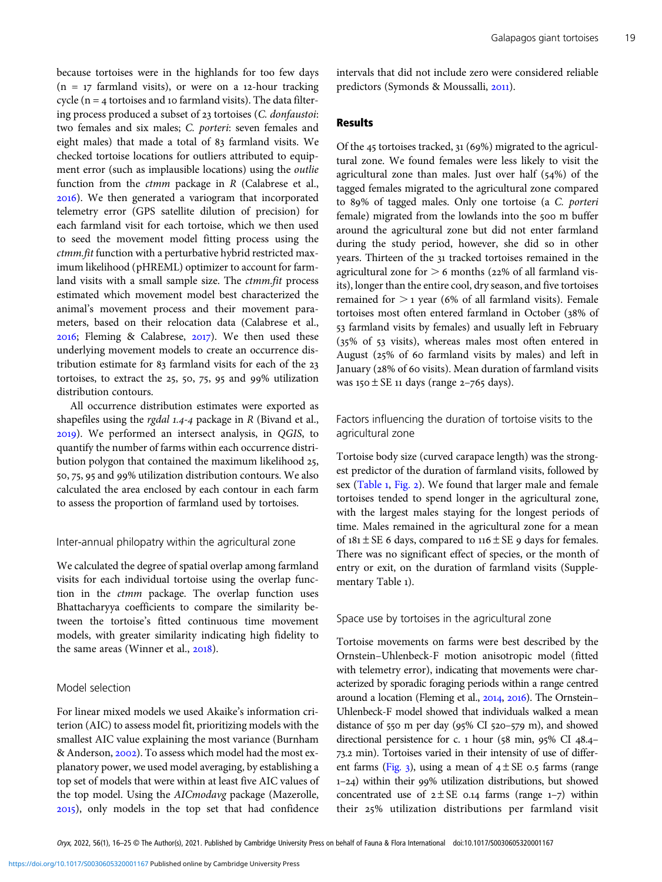because tortoises were in the highlands for too few days  $(n = 17$  farmland visits), or were on a 12-hour tracking cycle ( $n = 4$  tortoises and 10 farmland visits). The data filtering process produced a subset of  $23$  tortoises (C. donfaustoi: two females and six males; C. porteri: seven females and eight males) that made a total of 83 farmland visits. We checked tortoise locations for outliers attributed to equipment error (such as implausible locations) using the outlie function from the  $ctmm$  package in  $R$  (Calabrese et al., ). We then generated a variogram that incorporated telemetry error (GPS satellite dilution of precision) for each farmland visit for each tortoise, which we then used to seed the movement model fitting process using the ctmm.fit function with a perturbative hybrid restricted maximum likelihood (pHREML) optimizer to account for farmland visits with a small sample size. The ctmm.fit process estimated which movement model best characterized the animal's movement process and their movement parameters, based on their relocation data (Calabrese et al.,  $2016$ ; Fleming & Calabrese,  $2017$ ). We then used these underlying movement models to create an occurrence distribution estimate for 83 farmland visits for each of the 23 tortoises, to extract the 25, 50, 75, 95 and 99% utilization distribution contours.

All occurrence distribution estimates were exported as shapefiles using the rgdal  $1.4-4$  package in R (Bivand et al., ). We performed an intersect analysis, in QGIS, to quantify the number of farms within each occurrence distribution polygon that contained the maximum likelihood 25, 50, 75, 95 and 99% utilization distribution contours. We also calculated the area enclosed by each contour in each farm to assess the proportion of farmland used by tortoises.

#### Inter-annual philopatry within the agricultural zone

We calculated the degree of spatial overlap among farmland visits for each individual tortoise using the overlap function in the ctmm package. The overlap function uses Bhattacharyya coefficients to compare the similarity between the tortoise's fitted continuous time movement models, with greater similarity indicating high fidelity to the same areas (Winner et al., 2018).

#### Model selection

For linear mixed models we used Akaike's information criterion (AIC) to assess model fit, prioritizing models with the smallest AIC value explaining the most variance (Burnham & Anderson, 2002). To assess which model had the most explanatory power, we used model averaging, by establishing a top set of models that were within at least five AIC values of the top model. Using the AICmodavg package (Mazerolle, ), only models in the top set that had confidence intervals that did not include zero were considered reliable predictors (Symonds & Moussalli, 2011).

## Results

Of the 45 tortoises tracked,  $31(69%)$  migrated to the agricultural zone. We found females were less likely to visit the agricultural zone than males. Just over half  $(54%)$  of the tagged females migrated to the agricultural zone compared to 89% of tagged males. Only one tortoise (a C. porteri female) migrated from the lowlands into the 500 m buffer around the agricultural zone but did not enter farmland during the study period, however, she did so in other years. Thirteen of the 31 tracked tortoises remained in the agricultural zone for  $> 6$  months (22% of all farmland visits), longer than the entire cool, dry season, and five tortoises remained for  $>$  1 year (6% of all farmland visits). Female tortoises most often entered farmland in October (38% of farmland visits by females) and usually left in February  $(35\% \text{ of } 53 \text{ visits})$ , whereas males most often entered in August ( $25\%$  of 60 farmland visits by males) and left in January (28% of 60 visits). Mean duration of farmland visits was  $150 \pm SE$  11 days (range 2-765 days).

Factors influencing the duration of tortoise visits to the agricultural zone

Tortoise body size (curved carapace length) was the strongest predictor of the duration of farmland visits, followed by sex ([Table](#page-4-0) 1, [Fig.](#page-4-0) 2). We found that larger male and female tortoises tended to spend longer in the agricultural zone, with the largest males staying for the longest periods of time. Males remained in the agricultural zone for a mean of  $181 \pm SE$  6 days, compared to  $116 \pm SE$  9 days for females. There was no significant effect of species, or the month of entry or exit, on the duration of farmland visits (Supplementary Table 1).

## Space use by tortoises in the agricultural zone

Tortoise movements on farms were best described by the Ornstein–Uhlenbeck-F motion anisotropic model (fitted with telemetry error), indicating that movements were characterized by sporadic foraging periods within a range centred around a location (Fleming et al.,  $2014$ ,  $2016$ ). The Ornstein– Uhlenbeck-F model showed that individuals walked a mean distance of 550 m per day (95% CI 520-579 m), and showed directional persistence for c.  $1$  hour (58 min, 95% CI 48.4– 73.2 min). Tortoises varied in their intensity of use of differ-ent farms [\(Fig.](#page-5-0) 3), using a mean of  $4 \pm SE$  0.5 farms (range  $1-24$ ) within their 99% utilization distributions, but showed concentrated use of  $2 \pm SE$  0.14 farms (range 1-7) within their 25% utilization distributions per farmland visit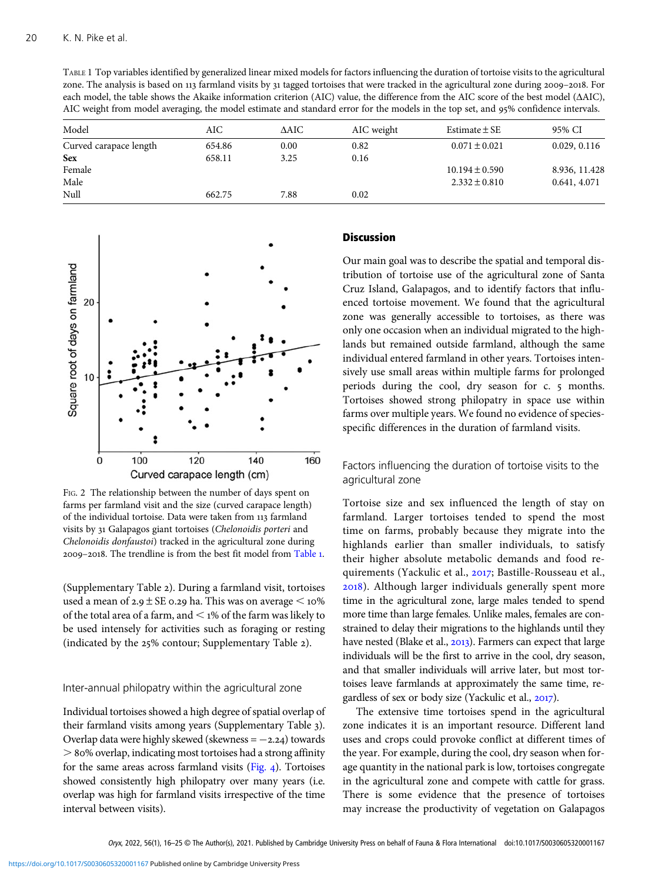<span id="page-4-0"></span>TABLE 1 Top variables identified by generalized linear mixed models for factors influencing the duration of tortoise visits to the agricultural zone. The analysis is based on 113 farmland visits by 31 tagged tortoises that were tracked in the agricultural zone during 2009-2018. For each model, the table shows the Akaike information criterion (AIC) value, the difference from the AIC score of the best model (ΔAIC), AIC weight from model averaging, the model estimate and standard error for the models in the top set, and 95% confidence intervals.

| Model                  | AIC    | ΔAIC | AIC weight | Estimate $\pm$ SE  | 95% CI        |
|------------------------|--------|------|------------|--------------------|---------------|
| Curved carapace length | 654.86 | 0.00 | 0.82       | $0.071 \pm 0.021$  | 0.029, 0.116  |
| <b>Sex</b>             | 658.11 | 3.25 | 0.16       |                    |               |
| Female                 |        |      |            | $10.194 \pm 0.590$ | 8.936, 11.428 |
| Male                   |        |      |            | $2.332 \pm 0.810$  | 0.641, 4.071  |
| Null                   | 662.75 | 7.88 | 0.02       |                    |               |



FIG. 2 The relationship between the number of days spent on farms per farmland visit and the size (curved carapace length) of the individual tortoise. Data were taken from 113 farmland visits by Galapagos giant tortoises (Chelonoidis porteri and Chelonoidis donfaustoi) tracked in the agricultural zone during 2009-2018. The trendline is from the best fit model from Table 1.

(Supplementary Table 2). During a farmland visit, tortoises used a mean of  $2.9 \pm SE$  0.29 ha. This was on average  $\leq 10\%$ of the total area of a farm, and  $\leq$  1% of the farm was likely to be used intensely for activities such as foraging or resting (indicated by the  $25\%$  contour; Supplementary Table 2).

## Inter-annual philopatry within the agricultural zone

Individual tortoises showed a high degree of spatial overlap of their farmland visits among years (Supplementary Table ). Overlap data were highly skewed (skewness =  $-2.24$ ) towards  $>$  80% overlap, indicating most tortoises had a strong affinity for the same areas across farmland visits  $(Fig, 4)$ . Tortoises showed consistently high philopatry over many years (i.e. overlap was high for farmland visits irrespective of the time interval between visits).

# **Discussion**

Our main goal was to describe the spatial and temporal distribution of tortoise use of the agricultural zone of Santa Cruz Island, Galapagos, and to identify factors that influenced tortoise movement. We found that the agricultural zone was generally accessible to tortoises, as there was only one occasion when an individual migrated to the highlands but remained outside farmland, although the same individual entered farmland in other years. Tortoises intensively use small areas within multiple farms for prolonged periods during the cool, dry season for c. 5 months. Tortoises showed strong philopatry in space use within farms over multiple years. We found no evidence of speciesspecific differences in the duration of farmland visits.

Factors influencing the duration of tortoise visits to the agricultural zone

Tortoise size and sex influenced the length of stay on farmland. Larger tortoises tended to spend the most time on farms, probably because they migrate into the highlands earlier than smaller individuals, to satisfy their higher absolute metabolic demands and food requirements (Yackulic et al., 2017; Bastille-Rousseau et al., ). Although larger individuals generally spent more time in the agricultural zone, large males tended to spend more time than large females. Unlike males, females are constrained to delay their migrations to the highlands until they have nested (Blake et al., 2013). Farmers can expect that large individuals will be the first to arrive in the cool, dry season, and that smaller individuals will arrive later, but most tortoises leave farmlands at approximately the same time, regardless of sex or body size (Yackulic et al., 2017).

The extensive time tortoises spend in the agricultural zone indicates it is an important resource. Different land uses and crops could provoke conflict at different times of the year. For example, during the cool, dry season when forage quantity in the national park is low, tortoises congregate in the agricultural zone and compete with cattle for grass. There is some evidence that the presence of tortoises may increase the productivity of vegetation on Galapagos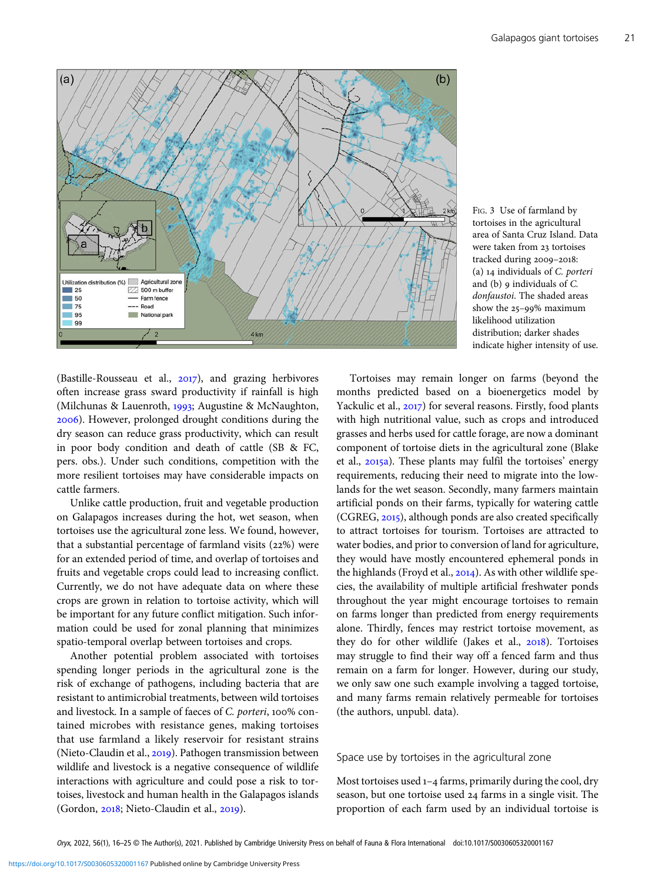<span id="page-5-0"></span>

FIG. 3 Use of farmland by tortoises in the agricultural area of Santa Cruz Island. Data were taken from 23 tortoises tracked during 2009-2018: (a) individuals of C. porteri and  $(b)$  9 individuals of  $C$ . donfaustoi. The shaded areas show the  $25-99\%$  maximum likelihood utilization distribution; darker shades indicate higher intensity of use.

(Bastille-Rousseau et al.,  $2017$ ), and grazing herbivores often increase grass sward productivity if rainfall is high (Milchunas & Lauenroth, 1993; Augustine & McNaughton, ). However, prolonged drought conditions during the dry season can reduce grass productivity, which can result in poor body condition and death of cattle (SB & FC, pers. obs.). Under such conditions, competition with the more resilient tortoises may have considerable impacts on cattle farmers.

Unlike cattle production, fruit and vegetable production on Galapagos increases during the hot, wet season, when tortoises use the agricultural zone less. We found, however, that a substantial percentage of farmland visits  $(22%)$  were for an extended period of time, and overlap of tortoises and fruits and vegetable crops could lead to increasing conflict. Currently, we do not have adequate data on where these crops are grown in relation to tortoise activity, which will be important for any future conflict mitigation. Such information could be used for zonal planning that minimizes spatio-temporal overlap between tortoises and crops.

Another potential problem associated with tortoises spending longer periods in the agricultural zone is the risk of exchange of pathogens, including bacteria that are resistant to antimicrobial treatments, between wild tortoises and livestock. In a sample of faeces of C. porteri, 100% contained microbes with resistance genes, making tortoises that use farmland a likely reservoir for resistant strains (Nieto-Claudin et al., 2019). Pathogen transmission between wildlife and livestock is a negative consequence of wildlife interactions with agriculture and could pose a risk to tortoises, livestock and human health in the Galapagos islands (Gordon, 2018; Nieto-Claudin et al., 2019).

Tortoises may remain longer on farms (beyond the months predicted based on a bioenergetics model by Yackulic et al., 2017) for several reasons. Firstly, food plants with high nutritional value, such as crops and introduced grasses and herbs used for cattle forage, are now a dominant component of tortoise diets in the agricultural zone (Blake et al., 2015a). These plants may fulfil the tortoises' energy requirements, reducing their need to migrate into the lowlands for the wet season. Secondly, many farmers maintain artificial ponds on their farms, typically for watering cattle (CGREG, 2015), although ponds are also created specifically to attract tortoises for tourism. Tortoises are attracted to water bodies, and prior to conversion of land for agriculture, they would have mostly encountered ephemeral ponds in the highlands (Froyd et al.,  $2014$ ). As with other wildlife species, the availability of multiple artificial freshwater ponds throughout the year might encourage tortoises to remain on farms longer than predicted from energy requirements alone. Thirdly, fences may restrict tortoise movement, as they do for other wildlife (Jakes et al., 2018). Tortoises may struggle to find their way off a fenced farm and thus remain on a farm for longer. However, during our study, we only saw one such example involving a tagged tortoise, and many farms remain relatively permeable for tortoises (the authors, unpubl. data).

#### Space use by tortoises in the agricultural zone

Most tortoises used  $1-4$  farms, primarily during the cool, dry season, but one tortoise used 24 farms in a single visit. The proportion of each farm used by an individual tortoise is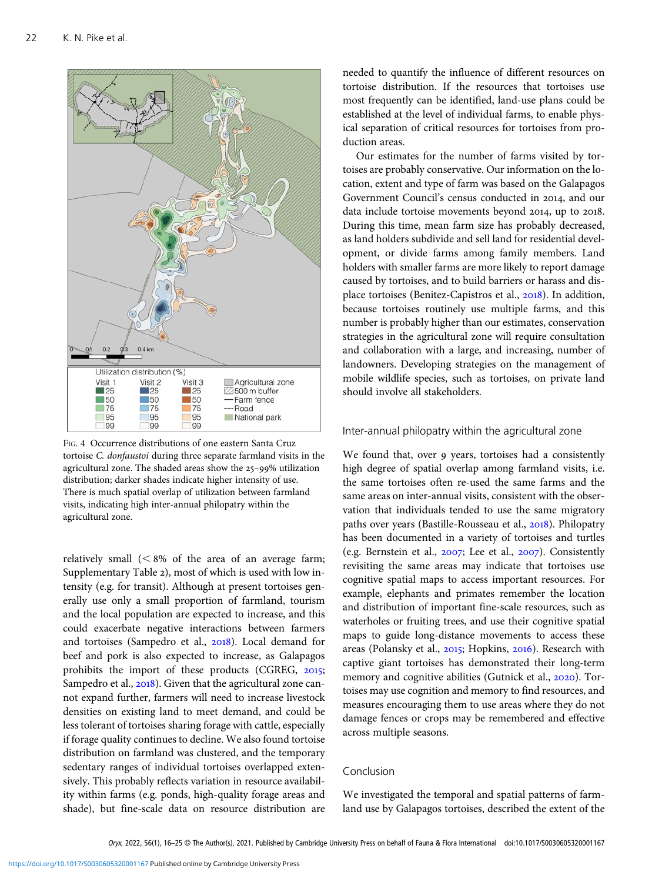<span id="page-6-0"></span>

FIG. 4 Occurrence distributions of one eastern Santa Cruz tortoise C. donfaustoi during three separate farmland visits in the agricultural zone. The shaded areas show the 25-99% utilization distribution; darker shades indicate higher intensity of use. There is much spatial overlap of utilization between farmland visits, indicating high inter-annual philopatry within the agricultural zone.

relatively small  $(< 8\%$  of the area of an average farm; Supplementary Table 2), most of which is used with low intensity (e.g. for transit). Although at present tortoises generally use only a small proportion of farmland, tourism and the local population are expected to increase, and this could exacerbate negative interactions between farmers and tortoises (Sampedro et al., 2018). Local demand for beef and pork is also expected to increase, as Galapagos prohibits the import of these products (CGREG, 2015; Sampedro et al., 2018). Given that the agricultural zone cannot expand further, farmers will need to increase livestock densities on existing land to meet demand, and could be less tolerant of tortoises sharing forage with cattle, especially if forage quality continues to decline. We also found tortoise distribution on farmland was clustered, and the temporary sedentary ranges of individual tortoises overlapped extensively. This probably reflects variation in resource availability within farms (e.g. ponds, high-quality forage areas and shade), but fine-scale data on resource distribution are

needed to quantify the influence of different resources on tortoise distribution. If the resources that tortoises use most frequently can be identified, land-use plans could be established at the level of individual farms, to enable physical separation of critical resources for tortoises from production areas.

Our estimates for the number of farms visited by tortoises are probably conservative. Our information on the location, extent and type of farm was based on the Galapagos Government Council's census conducted in 2014, and our data include tortoise movements beyond 2014, up to 2018. During this time, mean farm size has probably decreased, as land holders subdivide and sell land for residential development, or divide farms among family members. Land holders with smaller farms are more likely to report damage caused by tortoises, and to build barriers or harass and displace tortoises (Benitez-Capistros et al., 2018). In addition, because tortoises routinely use multiple farms, and this number is probably higher than our estimates, conservation strategies in the agricultural zone will require consultation and collaboration with a large, and increasing, number of landowners. Developing strategies on the management of mobile wildlife species, such as tortoises, on private land should involve all stakeholders.

#### Inter-annual philopatry within the agricultural zone

We found that, over 9 years, tortoises had a consistently high degree of spatial overlap among farmland visits, i.e. the same tortoises often re-used the same farms and the same areas on inter-annual visits, consistent with the observation that individuals tended to use the same migratory paths over years (Bastille-Rousseau et al., 2018). Philopatry has been documented in a variety of tortoises and turtles (e.g. Bernstein et al.,  $2007$ ; Lee et al.,  $2007$ ). Consistently revisiting the same areas may indicate that tortoises use cognitive spatial maps to access important resources. For example, elephants and primates remember the location and distribution of important fine-scale resources, such as waterholes or fruiting trees, and use their cognitive spatial maps to guide long-distance movements to access these areas (Polansky et al., 2015; Hopkins, 2016). Research with captive giant tortoises has demonstrated their long-term memory and cognitive abilities (Gutnick et al., 2020). Tortoises may use cognition and memory to find resources, and measures encouraging them to use areas where they do not damage fences or crops may be remembered and effective across multiple seasons.

# Conclusion

We investigated the temporal and spatial patterns of farmland use by Galapagos tortoises, described the extent of the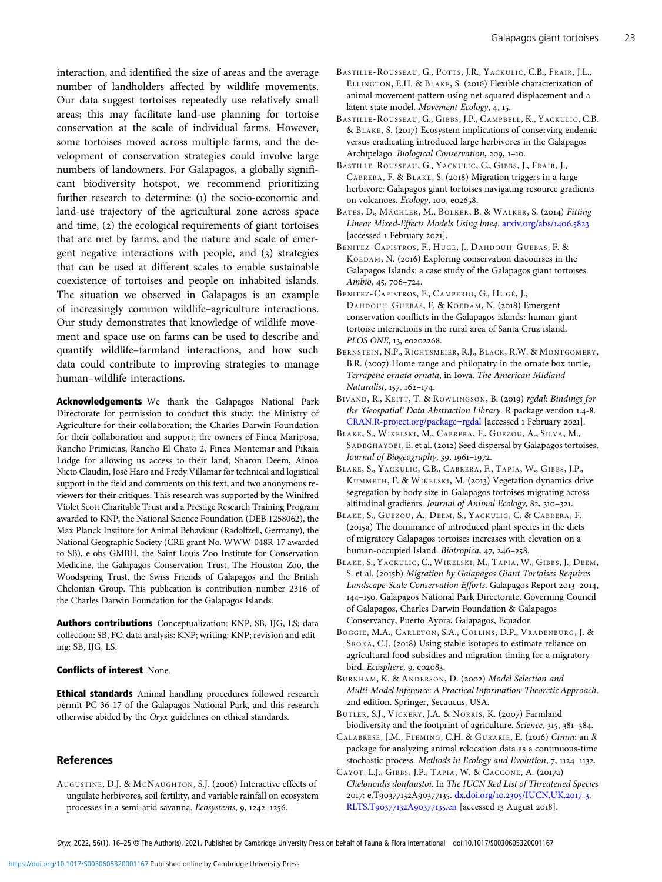<span id="page-7-0"></span>interaction, and identified the size of areas and the average number of landholders affected by wildlife movements. Our data suggest tortoises repeatedly use relatively small areas; this may facilitate land-use planning for tortoise conservation at the scale of individual farms. However, some tortoises moved across multiple farms, and the development of conservation strategies could involve large numbers of landowners. For Galapagos, a globally significant biodiversity hotspot, we recommend prioritizing further research to determine: (1) the socio-economic and land-use trajectory of the agricultural zone across space and time,  $(2)$  the ecological requirements of giant tortoises that are met by farms, and the nature and scale of emergent negative interactions with people, and  $(3)$  strategies that can be used at different scales to enable sustainable coexistence of tortoises and people on inhabited islands. The situation we observed in Galapagos is an example of increasingly common wildlife–agriculture interactions. Our study demonstrates that knowledge of wildlife movement and space use on farms can be used to describe and quantify wildlife–farmland interactions, and how such data could contribute to improving strategies to manage human–wildlife interactions.

Acknowledgements We thank the Galapagos National Park Directorate for permission to conduct this study; the Ministry of Agriculture for their collaboration; the Charles Darwin Foundation for their collaboration and support; the owners of Finca Mariposa, Rancho Primicias, Rancho El Chato 2, Finca Montemar and Pikaia Lodge for allowing us access to their land; Sharon Deem, Ainoa Nieto Claudin, José Haro and Fredy Villamar for technical and logistical support in the field and comments on this text; and two anonymous reviewers for their critiques. This research was supported by the Winifred Violet Scott Charitable Trust and a Prestige Research Training Program awarded to KNP, the National Science Foundation (DEB 1258062), the Max Planck Institute for Animal Behaviour (Radolfzell, Germany), the National Geographic Society (CRE grant No. WWW-048R-17 awarded to SB), e-obs GMBH, the Saint Louis Zoo Institute for Conservation Medicine, the Galapagos Conservation Trust, The Houston Zoo, the Woodspring Trust, the Swiss Friends of Galapagos and the British Chelonian Group. This publication is contribution number 2316 of the Charles Darwin Foundation for the Galapagos Islands.

Authors contributions Conceptualization: KNP, SB, IJG, LS; data collection: SB, FC; data analysis: KNP; writing: KNP; revision and editing: SB, IJG, LS.

#### Conflicts of interest None.

**Ethical standards** Animal handling procedures followed research permit PC-36-17 of the Galapagos National Park, and this research otherwise abided by the Oryx guidelines on ethical standards.

#### References

AUGUSTINE, D.J. & MCNAUGHTON, S.J. (2006) Interactive effects of ungulate herbivores, soil fertility, and variable rainfall on ecosystem processes in a semi-arid savanna. Ecosystems, 9, 1242-1256.

- BASTILLE-ROUSSEAU, G., POTTS, J.R., YACKULIC, C.B., FRAIR, J.L., ELLINGTON, E.H. & BLAKE, S. (2016) Flexible characterization of animal movement pattern using net squared displacement and a latent state model. Movement Ecology, 4, 15.
- BASTILLE-ROUSSEAU, G., GIBBS, J.P., CAMPBELL, K., YACKULIC, C.B. & BLAKE, S. (2017) Ecosystem implications of conserving endemic versus eradicating introduced large herbivores in the Galapagos Archipelago. Biological Conservation, 209, 1-10.
- BASTILLE-ROUSSEAU, G., YACKULIC, C., GIBBS, J., FRAIR, J., CABRERA, F. & BLAKE, S. (2018) Migration triggers in a large herbivore: Galapagos giant tortoises navigating resource gradients on volcanoes. Ecology, 100, e02658.
- BATES, D., MÄCHLER, M., BOLKER, B. & WALKER, S. (2014) Fitting Linear Mixed-Effects Models Using lme4. [arxiv.org/abs/](http://arxiv.org/abs/1406.5823)1406.5823 [accessed 1 February 2021].
- BENITEZ-CAPISTROS, F., HUGÉ, J., DAHDOUH-GUEBAS, F. & KOEDAM, N. (2016) Exploring conservation discourses in the Galapagos Islands: a case study of the Galapagos giant tortoises. Ambio, 45, 706-724.
- BENITEZ-CAPISTROS, F., CAMPERIO, G., HUGÉ, J., DAHDOUH-GUEBAS, F. & KOEDAM, N. (2018) Emergent conservation conflicts in the Galapagos islands: human-giant tortoise interactions in the rural area of Santa Cruz island. PLOS ONE, 13, e0202268.
- BERNSTEIN, N.P., RICHTSMEIER, R.J., BLACK, R.W. & MONTGOMERY, B.R. (2007) Home range and philopatry in the ornate box turtle, Terrapene ornata ornata, in Iowa. The American Midland Naturalist, 157, 162-174.
- BIVAND, R., KEITT, T. & ROWLINGSON, B. (2019) rgdal: Bindings for the 'Geospatial' Data Abstraction Library. R package version 1.4-8. [CRAN.R-project.org/package=rgdal](https://CRAN.R-project.org/package=rgdal) [accessed 1 February 2021].
- BLAKE, S., WIKELSKI, M., CABRERA, F., GUEZOU, A., SILVA, M., SADEGHAYOBI, E. et al. (2012) Seed dispersal by Galapagos tortoises. Journal of Biogeography, 39, 1961-1972.
- BLAKE, S., YACKULIC, C.B., CABRERA, F., TAPIA, W., GIBBS, J.P., KUMMETH, F. & WIKELSKI, M. (2013) Vegetation dynamics drive segregation by body size in Galapagos tortoises migrating across altitudinal gradients. Journal of Animal Ecology, 82, 310-321.
- BLAKE, S., GUEZOU, A., DEEM, S., YACKULIC, C. & CABRERA, F. (2015a) The dominance of introduced plant species in the diets of migratory Galapagos tortoises increases with elevation on a human-occupied Island. Biotropica, 47, 246-258.
- BLAKE, S., YACKULIC, C., WIKELSKI, M., TAPIA, W., GIBBS, J., DEEM, S. et al. (2015b) Migration by Galapagos Giant Tortoises Requires Landscape-Scale Conservation Efforts. Galapagos Report 2013-2014, 144-150. Galapagos National Park Directorate, Governing Council of Galapagos, Charles Darwin Foundation & Galapagos Conservancy, Puerto Ayora, Galapagos, Ecuador.
- BOGGIE, M.A., CARLETON, S.A., COLLINS , D.P., VRADENBURG, J. & SROKA, C.J. (2018) Using stable isotopes to estimate reliance on agricultural food subsidies and migration timing for a migratory bird. Ecosphere, 9, e02083.
- BURNHAM, K. & ANDERSON, D. (2002) Model Selection and Multi-Model Inference: A Practical Information-Theoretic Approach. nd edition. Springer, Secaucus, USA.
- BUTLER, S.J., VICKERY, J.A. & NORRIS, K. (2007) Farmland biodiversity and the footprint of agriculture. Science, 315, 381-384.
- CALABRESE, J.M., FLEMING, C.H. & GURARIE, E. (2016) Ctmm: an R package for analyzing animal relocation data as a continuous-time stochastic process. Methods in Ecology and Evolution, 7, 1124-1132.
- CAYOT, L.J., GIBBS, J.P., TAPIA, W. & CACCONE, A. (2017a) Chelonoidis donfaustoi. In The IUCN Red List of Threatened Species 2017: e.T90377132A90377135. dx.doi.org/10.2305[/IUCN.UK.](http://dx.doi.org/10.2305/IUCN.UK.2017-3.RLTS.T90377132A90377135.en)2017-3. RLTS.T90377132A90377135.en [accessed 13 August 2018].

 $O<sub>Y</sub>*x*, 2022, 56(1), 16–25  $\odot$  The Author(s), 2021. Published by Cambridge University Press on behalf of Fauna & Flora International doi:10.1017/S0030605320001167$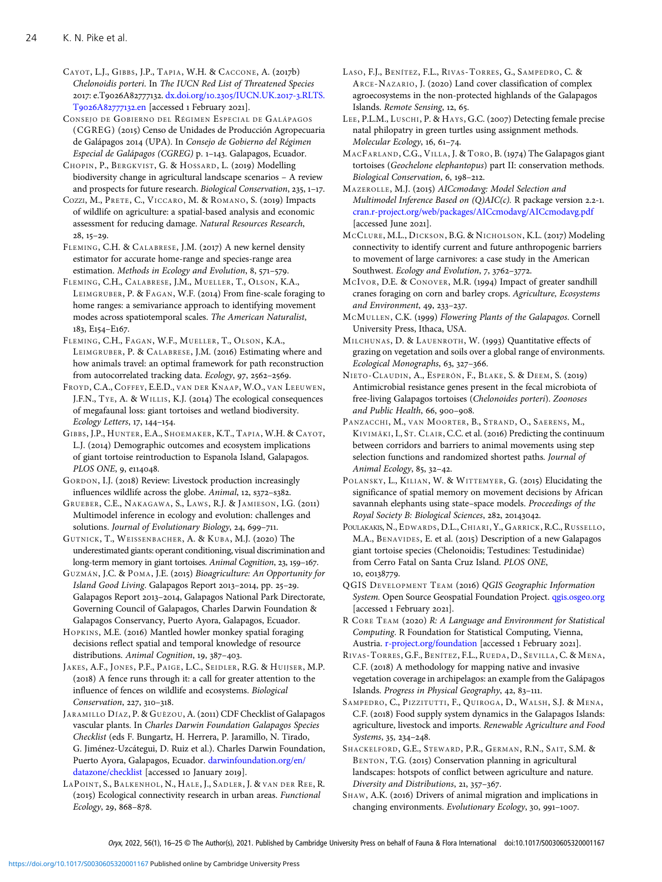<span id="page-8-0"></span>CAYOT, L.J., GIBBS, J.P., TAPIA, W.H. & CACCONE, A. (2017b) Chelonoidis porteri. In The IUCN Red List of Threatened Species 2017: e.T9026A82777132. dx.doi.org/10.2305[/IUCN.UK.](https://dx.doi.org/10.2305/IUCN.UK.2017-3.RLTS.T9026A82777132.en)2017-3.RLTS. T9026A82777132.en [accessed 1 February 2021].

CONSEJO DE GOBIERNO DEL RÉGIMEN ESPECIAL DE GALÁPAGOS (CGREG) (2015) Censo de Unidades de Producción Agropecuaria de Galápagos 2014 (UPA). In Consejo de Gobierno del Régimen Especial de Galápagos (CGREG) p. 1-143. Galapagos, Ecuador.

CHOPIN, P., BERGKVIST, G. & HOSSARD, L. (2019) Modelling biodiversity change in agricultural landscape scenarios – A review and prospects for future research. Biological Conservation,  $235$ ,  $1-17$ .

COZZI, M., PRETE, C., VICCARO, M. & ROMANO, S. (2019) Impacts of wildlife on agriculture: a spatial-based analysis and economic assessment for reducing damage. Natural Resources Research,  $28, 15 - 29.$ 

FLEMING, C.H. & CALABRESE, J.M. (2017) A new kernel density estimator for accurate home-range and species-range area estimation. Methods in Ecology and Evolution,  $8, 571-579$ .

FLEMING, C.H., CALABRESE, J.M., MUELLER, T., OLSON, K.A., LEIMGRUBER, P. & FAGAN, W.F. (2014) From fine-scale foraging to home ranges: a semivariance approach to identifying movement modes across spatiotemporal scales. The American Naturalist, 183, E154-E167.

FLEMING, C.H., FAGAN, W.F., MUELLER, T., OLSON, K.A., LEIMGRUBER, P. & CALABRESE, J.M. (2016) Estimating where and how animals travel: an optimal framework for path reconstruction from autocorrelated tracking data. Ecology, 97, 2562-2569.

FROYD, C.A., COFFEY, E.E.D., VAN DER KNAAP, W.O., VAN LEEUWEN, J.F.N., TYE, A. & WILLIS, K.J. (2014) The ecological consequences of megafaunal loss: giant tortoises and wetland biodiversity. Ecology Letters, 17, 144-154.

GIBBS, J.P., HUNTER, E.A., SHOEMAKER, K.T., TAPIA, W.H. & CAYOT, L.J. (2014) Demographic outcomes and ecosystem implications of giant tortoise reintroduction to Espanola Island, Galapagos. PLOS ONE, 9, e114048.

GORDON, I.J. (2018) Review: Livestock production increasingly influences wildlife across the globe. Animal, 12, s372-s382.

GRUEBER, C.E., NAKAGAWA, S., LAWS, R.J. & JAMIESON, I.G. (2011) Multimodel inference in ecology and evolution: challenges and solutions. Journal of Evolutionary Biology, 24, 699-711.

GUTNICK, T., WEISSENBACHER, A. & KUBA, M.J. (2020) The underestimated giants: operant conditioning, visual discrimination and long-term memory in giant tortoises. Animal Cognition, 23, 159-167.

GUZMÁN, J.C. & POMA, J.E. (2015) Bioagriculture: An Opportunity for Island Good Living. Galapagos Report 2013-2014, pp. 25-29. Galapagos Report 2013-2014, Galapagos National Park Directorate, Governing Council of Galapagos, Charles Darwin Foundation & Galapagos Conservancy, Puerto Ayora, Galapagos, Ecuador.

HOPKINS, M.E. (2016) Mantled howler monkey spatial foraging decisions reflect spatial and temporal knowledge of resource distributions. Animal Cognition, 19, 387-403.

JAKES, A.F., JONES, P.F., PAIGE, L.C., SEIDLER, R.G. & HUIJSER, M.P. (2018) A fence runs through it: a call for greater attention to the influence of fences on wildlife and ecosystems. Biological Conservation, 227, 310-318.

JARAMILLO DÍAZ, P. & GUÈZOU, A. (2011) CDF Checklist of Galapagos vascular plants. In Charles Darwin Foundation Galapagos Species Checklist (eds F. Bungartz, H. Herrera, P. Jaramillo, N. Tirado, G. Jiménez-Uzcátegui, D. Ruiz et al.). Charles Darwin Foundation, Puerto Ayora, Galapagos, Ecuador. [darwinfoundation.org/en/](https://www.darwinfoundation.org/en/datazone/checklist) [datazone/checklist](https://www.darwinfoundation.org/en/datazone/checklist) [accessed 10 January 2019].

LAPOINT, S., BALKENHOL, N., HALE, J., SADLER, J. & VAN DER REE, R. (2015) Ecological connectivity research in urban areas. Functional Ecology, 29, 868-878.

LASO, F.J., BENÍTEZ, F.L., RIVAS-TORRES, G., SAMPEDRO, C. & ARCE-NAZARIO, J. (2020) Land cover classification of complex agroecosystems in the non-protected highlands of the Galapagos Islands. Remote Sensing, 12, 65.

LEE, P.L.M., LUSCHI, P. & HAYS, G.C. (2007) Detecting female precise natal philopatry in green turtles using assignment methods. Molecular Ecology, 16, 61-74.

MACFARLAND, C.G., VILLA, J. & TORO, B. (1974) The Galapagos giant tortoises (Geochelone elephantopus) part II: conservation methods. Biological Conservation, 6, 198-212.

MAZEROLLE, M.J. (2015) AICcmodavg: Model Selection and Multimodel Inference Based on  $(Q)AIC(c)$ . R package version 2.2-1. [cran.r-project.org/web/packages/AICcmodavg/AICcmodavg.pdf](https://cran.r-project.org/web/packages/AICcmodavg/AICcmodavg.pdf) [accessed June 2021].

MCCLURE, M.L., DICKSON, B.G. & NICHOLSON, K.L. (2017) Modeling connectivity to identify current and future anthropogenic barriers to movement of large carnivores: a case study in the American Southwest. Ecology and Evolution, 7, 3762-3772.

MCIVOR, D.E. & CONOVER, M.R. (1994) Impact of greater sandhill cranes foraging on corn and barley crops. Agriculture, Ecosystems and Environment,  $49, 233 - 237$ .

MCMULLEN, C.K. (1999) Flowering Plants of the Galapagos. Cornell University Press, Ithaca, USA.

MILCHUNAS, D. & LAUENROTH, W. (1993) Quantitative effects of grazing on vegetation and soils over a global range of environments. Ecological Monographs, 63, 327-366.

NIETO-CLAUDIN, A., ESPERÓN, F., BLAKE, S. & DEEM, S. (2019) Antimicrobial resistance genes present in the fecal microbiota of free-living Galapagos tortoises (Chelonoides porteri). Zoonoses and Public Health, 66, 900-908.

PANZACCHI, M., VAN MOORTER, B., STRAND, O., SAERENS, M., KIVIMÄKI, I., ST. CLAIR, C.C. et al. (2016) Predicting the continuum between corridors and barriers to animal movements using step selection functions and randomized shortest paths. Journal of Animal Ecology, 85, 32-42.

POLANSKY, L., KILIAN, W. & WITTEMYER, G. (2015) Elucidating the significance of spatial memory on movement decisions by African savannah elephants using state–space models. Proceedings of the Royal Society B: Biological Sciences, 282, 20143042.

POULAKAKIS, N., EDWARDS, D.L., CHIARI, Y., GARRICK, R.C., RUSSELLO, M.A., BENAVIDES, E. et al. (2015) Description of a new Galapagos giant tortoise species (Chelonoidis; Testudines: Testudinidae) from Cerro Fatal on Santa Cruz Island. PLOS ONE, 10, e0138779.

QGIS DEVELOPMENT TEAM (2016) QGIS Geographic Information System. Open Source Geospatial Foundation Project. [qgis.osgeo.org](Http://qgis.osgeo.org) [accessed 1 February 2021].

R CORE TEAM (2020) R: A Language and Environment for Statistical Computing. R Foundation for Statistical Computing, Vienna, Austria. [r-project.org/foundation](http://www.r-project.org/foundation) [accessed 1 February 2021].

RIVAS -TORRES , G.F., BENÍTEZ, F.L., RUEDA, D., SEVILLA, C. & MENA, C.F. (2018) A methodology for mapping native and invasive vegetation coverage in archipelagos: an example from the Galápagos Islands. Progress in Physical Geography, 42, 83-111.

SAMPEDRO, C., PIZZITUTTI, F., QUIROGA, D., WALSH, S.J. & MENA, C.F. (2018) Food supply system dynamics in the Galapagos Islands: agriculture, livestock and imports. Renewable Agriculture and Food Systems, 35, 234-248.

SHACKELFORD, G.E., STEWARD, P.R., GERMAN, R.N., SAIT, S.M. & BENTON, T.G. (2015) Conservation planning in agricultural landscapes: hotspots of conflict between agriculture and nature. Diversity and Distributions, 21, 357-367.

SHAW, A.K. (2016) Drivers of animal migration and implications in changing environments. Evolutionary Ecology, 30, 991-1007.